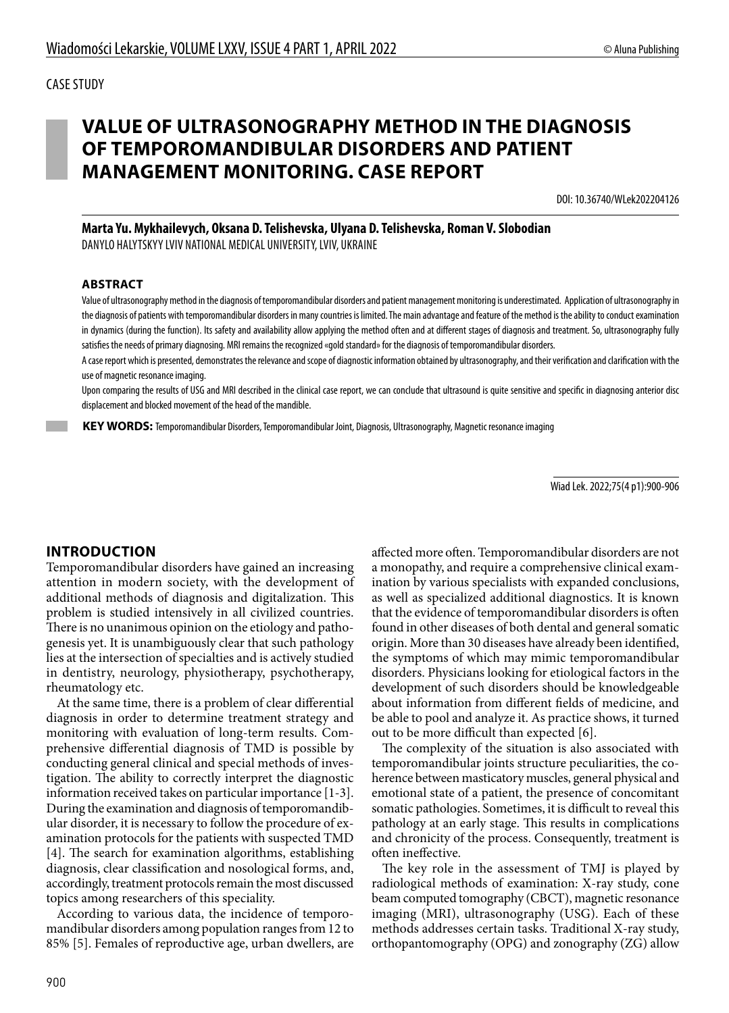# **VALUE OF ULTRASONOGRAPHY METHOD IN THE DIAGNOSIS OF TEMPOROMANDIBULAR DISORDERS AND PATIENT MANAGEMENT MONITORING. CASE REPORT**

DOI: 10.36740/WLek202204126

**Marta Yu. Mykhailevych, Oksana D. Telishevska, Ulyana D. Telishevska, Roman V. Slobodian**

DANYLO HALYTSKYY LVIV NATIONAL MEDICAL UNIVERSITY, LVIV, UKRAINE

#### **ABSTRACT**

Value of ultrasonography method in the diagnosis of temporomandibular disorders and patient management monitoring is underestimated. Application of ultrasonography in the diagnosis of patients with temporomandibular disorders in many countries is limited. The main advantage and feature of the method is the ability to conduct examination in dynamics (during the function). Its safety and availability allow applying the method often and at different stages of diagnosis and treatment. So, ultrasonography fully satisfies the needs of primary diagnosing. MRI remains the recognized «gold standard» for the diagnosis of temporomandibular disorders.

A case report which is presented, demonstrates the relevance and scope of diagnostic information obtained by ultrasonography, and their verification and clarification with the use of magnetic resonance imaging.

Upon comparing the results of USG and MRI described in the clinical case report, we can conclude that ultrasound is quite sensitive and specific in diagnosing anterior disc displacement and blocked movement of the head of the mandible.

 **KEY WORDS:** Temporomandibular Disorders, Temporomandibular Joint, Diagnosis, Ultrasonography, Magnetic resonance imaging

Wiad Lek. 2022;75(4 p1):900-906

#### **INTRODUCTION**

Temporomandibular disorders have gained an increasing attention in modern society, with the development of additional methods of diagnosis and digitalization. This problem is studied intensively in all civilized countries. There is no unanimous opinion on the etiology and pathogenesis yet. It is unambiguously clear that such pathology lies at the intersection of specialties and is actively studied in dentistry, neurology, physiotherapy, psychotherapy, rheumatology etc.

At the same time, there is a problem of clear differential diagnosis in order to determine treatment strategy and monitoring with evaluation of long-term results. Comprehensive differential diagnosis of TMD is possible by conducting general clinical and special methods of investigation. The ability to correctly interpret the diagnostic information received takes on particular importance [1-3]. During the examination and diagnosis of temporomandibular disorder, it is necessary to follow the procedure of examination protocols for the patients with suspected TMD [4]. The search for examination algorithms, establishing diagnosis, clear classification and nosological forms, and, accordingly, treatment protocols remain the most discussed topics among researchers of this speciality.

According to various data, the incidence of temporomandibular disorders among population ranges from 12 to 85% [5]. Females of reproductive age, urban dwellers, are affected more often. Temporomandibular disorders are not a monopathy, and require a comprehensive clinical examination by various specialists with expanded conclusions, as well as specialized additional diagnostics. It is known that the evidence of temporomandibular disorders is often found in other diseases of both dental and general somatic origin. More than 30 diseases have already been identified, the symptoms of which may mimic temporomandibular disorders. Physicians looking for etiological factors in the development of such disorders should be knowledgeable about information from different fields of medicine, and be able to pool and analyze it. As practice shows, it turned out to be more difficult than expected [6].

The complexity of the situation is also associated with temporomandibular joints structure peculiarities, the coherence between masticatory muscles, general physical and emotional state of a patient, the presence of concomitant somatic pathologies. Sometimes, it is difficult to reveal this pathology at an early stage. This results in complications and chronicity of the process. Consequently, treatment is often ineffective.

The key role in the assessment of TMJ is played by radiological methods of examination: X-ray study, cone beam computed tomography (CBCT), magnetic resonance imaging (MRI), ultrasonography (USG). Each of these methods addresses certain tasks. Traditional X-ray study, orthopantomography (OPG) and zonography (ZG) allow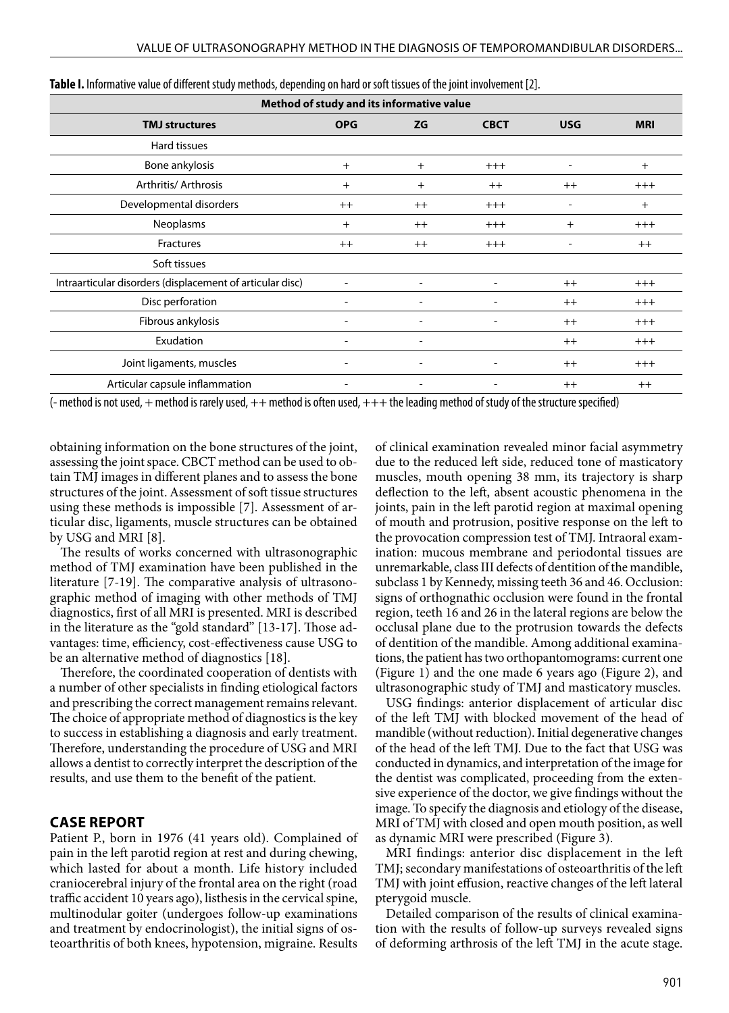| Method of study and its informative value                 |                          |                              |                          |                          |            |  |  |
|-----------------------------------------------------------|--------------------------|------------------------------|--------------------------|--------------------------|------------|--|--|
| <b>TMJ</b> structures                                     | <b>OPG</b>               | <b>ZG</b>                    | <b>CBCT</b>              | <b>USG</b>               | <b>MRI</b> |  |  |
| Hard tissues                                              |                          |                              |                          |                          |            |  |  |
| Bone ankylosis                                            | $^{+}$                   | $^{+}$                       | $+++$                    | $\overline{\phantom{a}}$ | $^{+}$     |  |  |
| Arthritis/ Arthrosis                                      | $^{+}$                   | $^{+}$                       | $++$                     | $++$                     | $^{+++}$   |  |  |
| Developmental disorders                                   | $++$                     | $++$                         | $^{+++}$                 |                          | $^{+}$     |  |  |
| Neoplasms                                                 | $^{+}$                   | $++$                         | $^{+++}$                 | $^{+}$                   | $^{+++}$   |  |  |
| <b>Fractures</b>                                          | $++$                     | $++$                         | $+++$                    |                          | $++$       |  |  |
| Soft tissues                                              |                          |                              |                          |                          |            |  |  |
| Intraarticular disorders (displacement of articular disc) | $\overline{\phantom{0}}$ |                              |                          | $++$                     | $+++$      |  |  |
| Disc perforation                                          |                          |                              |                          | $++$                     | $^{+++}$   |  |  |
| Fibrous ankylosis                                         | $\overline{a}$           | $\overline{\phantom{0}}$     |                          | $++$                     | $+++$      |  |  |
| Exudation                                                 | $\overline{\phantom{a}}$ | $\overline{\phantom{a}}$     |                          | $++$                     | $+++$      |  |  |
| Joint ligaments, muscles                                  | $\overline{a}$           | $\qquad \qquad \blacksquare$ | $\overline{\phantom{a}}$ | $++$                     | $+++$      |  |  |
| Articular capsule inflammation                            | $\overline{\phantom{a}}$ | $\qquad \qquad \blacksquare$ | $\overline{\phantom{a}}$ | $++$                     | $++$       |  |  |

| Table I. Informative value of different study methods, depending on hard or soft tissues of the joint involvement [2]. |  |  |  |
|------------------------------------------------------------------------------------------------------------------------|--|--|--|
|------------------------------------------------------------------------------------------------------------------------|--|--|--|

 $(-$  method is not used,  $+$  method is rarely used,  $++$  method is often used,  $+++$  the leading method of study of the structure specified)

obtaining information on the bone structures of the joint, assessing the joint space. CBCT method can be used to obtain TMJ images in different planes and to assess the bone structures of the joint. Assessment of soft tissue structures using these methods is impossible [7]. Assessment of articular disc, ligaments, muscle structures can be obtained by USG and MRI [8].

The results of works concerned with ultrasonographic method of TMJ examination have been published in the literature [7-19]. The comparative analysis of ultrasonographic method of imaging with other methods of TMJ diagnostics, first of all MRI is presented. MRI is described in the literature as the "gold standard" [13-17]. Those advantages: time, efficiency, cost-effectiveness cause USG to be an alternative method of diagnostics [18].

Therefore, the coordinated cooperation of dentists with a number of other specialists in finding etiological factors and prescribing the correct management remains relevant. The choice of appropriate method of diagnostics is the key to success in establishing a diagnosis and early treatment. Therefore, understanding the procedure of USG and MRI allows a dentist to correctly interpret the description of the results, and use them to the benefit of the patient.

#### **CASE REPORT**

Patient P., born in 1976 (41 years old). Complained of pain in the left parotid region at rest and during chewing, which lasted for about a month. Life history included craniocerebral injury of the frontal area on the right (road traffic accident 10 years ago), listhesis in the cervical spine, multinodular goiter (undergoes follow-up examinations and treatment by endocrinologist), the initial signs of osteoarthritis of both knees, hypotension, migraine. Results of clinical examination revealed minor facial asymmetry due to the reduced left side, reduced tone of masticatory muscles, mouth opening 38 mm, its trajectory is sharp deflection to the left, absent acoustic phenomena in the joints, pain in the left parotid region at maximal opening of mouth and protrusion, positive response on the left to the provocation compression test of TMJ. Intraoral examination: mucous membrane and periodontal tissues are unremarkable, class III defects of dentition of the mandible, subclass 1 by Kennedy, missing teeth 36 and 46. Occlusion: signs of orthognathic occlusion were found in the frontal region, teeth 16 and 26 in the lateral regions are below the occlusal plane due to the protrusion towards the defects of dentition of the mandible. Among additional examinations, the patient has two orthopantomograms: current one (Figure 1) and the one made 6 years ago (Figure 2), and ultrasonographic study of TMJ and masticatory muscles.

USG findings: anterior displacement of articular disc of the left TMJ with blocked movement of the head of mandible (without reduction). Initial degenerative changes of the head of the left TMJ. Due to the fact that USG was conducted in dynamics, and interpretation of the image for the dentist was complicated, proceeding from the extensive experience of the doctor, we give findings without the image. To specify the diagnosis and etiology of the disease, MRI of TMJ with closed and open mouth position, as well as dynamic MRI were prescribed (Figure 3).

MRI findings: anterior disc displacement in the left TMJ; secondary manifestations of osteoarthritis of the left TMJ with joint effusion, reactive changes of the left lateral pterygoid muscle.

Detailed comparison of the results of clinical examination with the results of follow-up surveys revealed signs of deforming arthrosis of the left TMJ in the acute stage.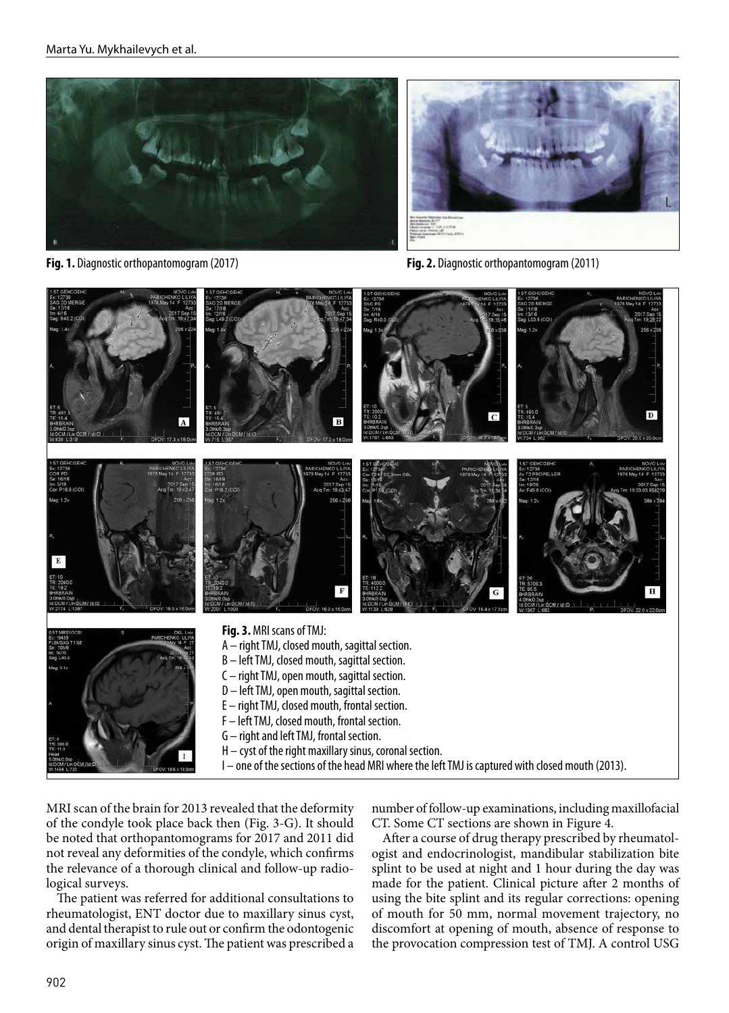

**Fig. 1.** Diagnostic orthopantomogram (2017) **Fig. 2.** Diagnostic orthopantomogram (2011)



MRI scan of the brain for 2013 revealed that the deformity of the condyle took place back then (Fig. 3-G). It should be noted that orthopantomograms for 2017 and 2011 did not reveal any deformities of the condyle, which confirms the relevance of a thorough clinical and follow-up radiological surveys.

The patient was referred for additional consultations to rheumatologist, ENT doctor due to maxillary sinus cyst, and dental therapist to rule out or confirm the odontogenic origin of maxillary sinus cyst. The patient was prescribed a

number of follow-up examinations, including maxillofacial CT. Some CT sections are shown in Figure 4.

After a course of drug therapy prescribed by rheumatologist and endocrinologist, mandibular stabilization bite splint to be used at night and 1 hour during the day was made for the patient. Clinical picture after 2 months of using the bite splint and its regular corrections: opening of mouth for 50 mm, normal movement trajectory, no discomfort at opening of mouth, absence of response to the provocation compression test of TMJ. A control USG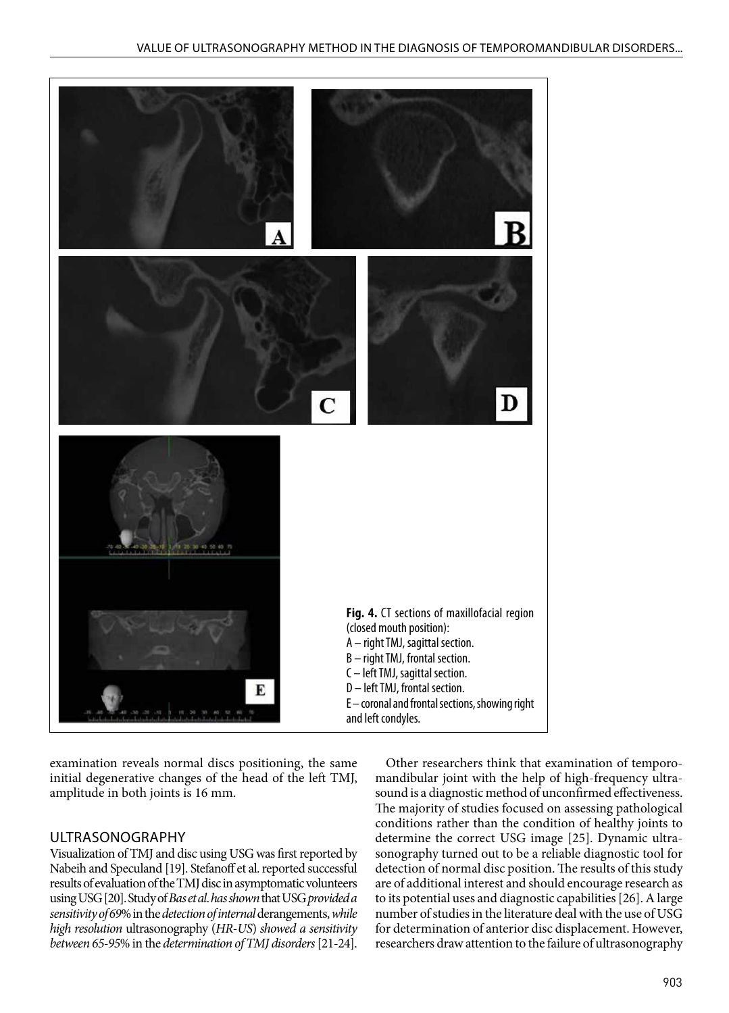

examination reveals normal discs positioning, the same initial degenerative changes of the head of the left TMJ, amplitude in both joints is 16 mm.

# ULTRASONOGRAPHY

Visualization of TMJ and disc using USG was first reported by Nabeih and Speculand [19]. Stefanoff et al. reported successful results of evaluation of the TMJ disc in asymptomatic volunteers using USG [20]. Study of *Bas et al*. *has shown* that USG *provided a sensitivity of 69*% in the *detection of internal* derangements, *while high resolution* ultrasonography (*HR*-*US*) *showed a sensitivity between 65-95*% in the *determination of TMJ disorders* [21-24].

Other researchers think that examination of temporomandibular joint with the help of high-frequency ultrasound is a diagnostic method of unconfirmed effectiveness. The majority of studies focused on assessing pathological conditions rather than the condition of healthy joints to determine the correct USG image [25]. Dynamic ultrasonography turned out to be a reliable diagnostic tool for detection of normal disc position. The results of this study are of additional interest and should encourage research as to its potential uses and diagnostic capabilities [26]. A large number of studies in the literature deal with the use of USG for determination of anterior disc displacement. However, researchers draw attention to the failure of ultrasonography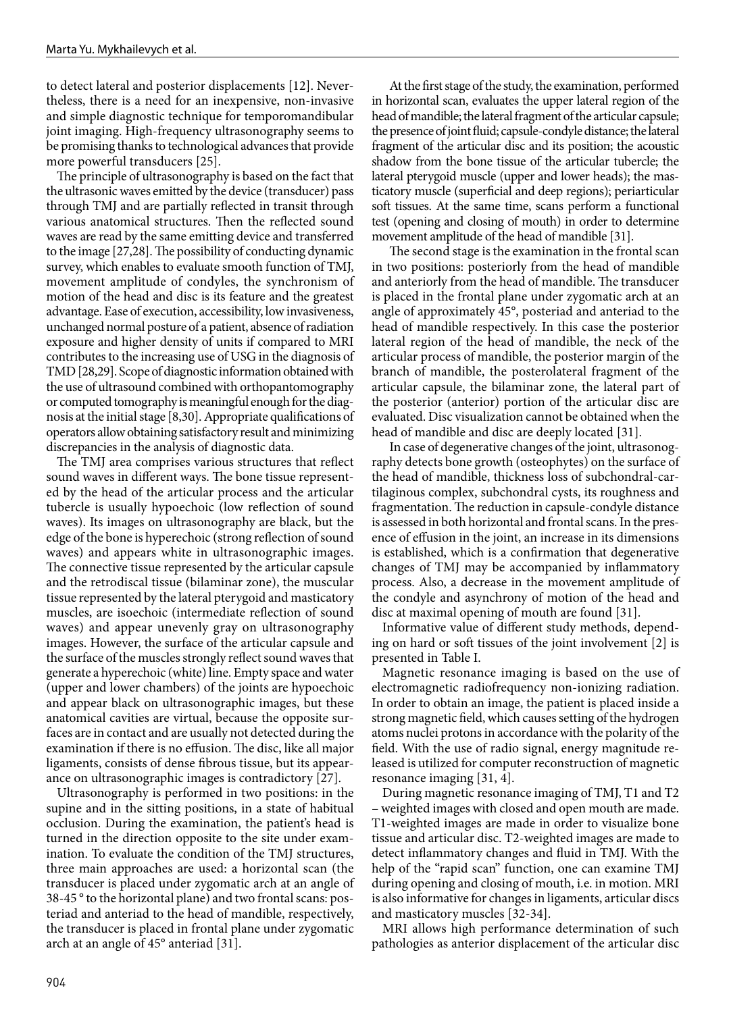to detect lateral and posterior displacements [12]. Nevertheless, there is a need for an inexpensive, non-invasive and simple diagnostic technique for temporomandibular joint imaging. High-frequency ultrasonography seems to be promising thanks to technological advances that provide more powerful transducers [25].

The principle of ultrasonography is based on the fact that the ultrasonic waves emitted by the device (transducer) pass through TMJ and are partially reflected in transit through various anatomical structures. Then the reflected sound waves are read by the same emitting device and transferred to the image [27,28]. The possibility of conducting dynamic survey, which enables to evaluate smooth function of TMJ, movement amplitude of condyles, the synchronism of motion of the head and disc is its feature and the greatest advantage. Ease of execution, accessibility, low invasiveness, unchanged normal posture of a patient, absence of radiation exposure and higher density of units if compared to MRI contributes to the increasing use of USG in the diagnosis of TMD [28,29]. Scope of diagnostic information obtained with the use of ultrasound combined with orthopantomography or computed tomography is meaningful enough for the diagnosis at the initial stage [8,30]. Appropriate qualifications of operators allow obtaining satisfactory result and minimizing discrepancies in the analysis of diagnostic data.

The TMJ area comprises various structures that reflect sound waves in different ways. The bone tissue represented by the head of the articular process and the articular tubercle is usually hypoechoic (low reflection of sound waves). Its images on ultrasonography are black, but the edge of the bone is hyperechoic (strong reflection of sound waves) and appears white in ultrasonographic images. The connective tissue represented by the articular capsule and the retrodiscal tissue (bilaminar zone), the muscular tissue represented by the lateral pterygoid and masticatory muscles, are isoechoic (intermediate reflection of sound waves) and appear unevenly gray on ultrasonography images. However, the surface of the articular capsule and the surface of the muscles strongly reflect sound waves that generate a hyperechoic (white) line. Empty space and water (upper and lower chambers) of the joints are hypoechoic and appear black on ultrasonographic images, but these anatomical cavities are virtual, because the opposite surfaces are in contact and are usually not detected during the examination if there is no effusion. The disc, like all major ligaments, consists of dense fibrous tissue, but its appearance on ultrasonographic images is contradictory [27].

Ultrasonography is performed in two positions: in the supine and in the sitting positions, in a state of habitual occlusion. During the examination, the patient's head is turned in the direction opposite to the site under examination. To evaluate the condition of the TMJ structures, three main approaches are used: a horizontal scan (the transducer is placed under zygomatic arch at an angle of 38-45 ° to the horizontal plane) and two frontal scans: posteriad and anteriad to the head of mandible, respectively, the transducer is placed in frontal plane under zygomatic arch at an angle of 45° anteriad [31].

At the first stage of the study, the examination, performed in horizontal scan, evaluates the upper lateral region of the head of mandible; the lateral fragment of the articular capsule; the presence of joint fluid; capsule-condyle distance; the lateral fragment of the articular disc and its position; the acoustic shadow from the bone tissue of the articular tubercle; the lateral pterygoid muscle (upper and lower heads); the masticatory muscle (superficial and deep regions); periarticular soft tissues. At the same time, scans perform a functional test (opening and closing of mouth) in order to determine movement amplitude of the head of mandible [31].

The second stage is the examination in the frontal scan in two positions: posteriorly from the head of mandible and anteriorly from the head of mandible. The transducer is placed in the frontal plane under zygomatic arch at an angle of approximately 45°, posteriad and anteriad to the head of mandible respectively. In this case the posterior lateral region of the head of mandible, the neck of the articular process of mandible, the posterior margin of the branch of mandible, the posterolateral fragment of the articular capsule, the bilaminar zone, the lateral part of the posterior (anterior) portion of the articular disc are evaluated. Disc visualization cannot be obtained when the head of mandible and disc are deeply located [31].

In case of degenerative changes of the joint, ultrasonography detects bone growth (osteophytes) on the surface of the head of mandible, thickness loss of subchondral-cartilaginous complex, subchondral cysts, its roughness and fragmentation. The reduction in capsule-condyle distance is assessed in both horizontal and frontal scans. In the presence of effusion in the joint, an increase in its dimensions is established, which is a confirmation that degenerative changes of TMJ may be accompanied by inflammatory process. Also, a decrease in the movement amplitude of the condyle and asynchrony of motion of the head and disc at maximal opening of mouth are found [31].

Informative value of different study methods, depending on hard or soft tissues of the joint involvement [2] is presented in Table I.

Magnetic resonance imaging is based on the use of electromagnetic radiofrequency non-ionizing radiation. In order to obtain an image, the patient is placed inside a strong magnetic field, which causes setting of the hydrogen atoms nuclei protons in accordance with the polarity of the field. With the use of radio signal, energy magnitude released is utilized for computer reconstruction of magnetic resonance imaging [31, 4].

During magnetic resonance imaging of TMJ, T1 and T2 – weighted images with closed and open mouth are made. T1-weighted images are made in order to visualize bone tissue and articular disc. T2-weighted images are made to detect inflammatory changes and fluid in TMJ. With the help of the "rapid scan" function, one can examine TMJ during opening and closing of mouth, i.e. in motion. MRI is also informative for changes in ligaments, articular discs and masticatory muscles [32-34].

MRI allows high performance determination of such pathologies as anterior displacement of the articular disc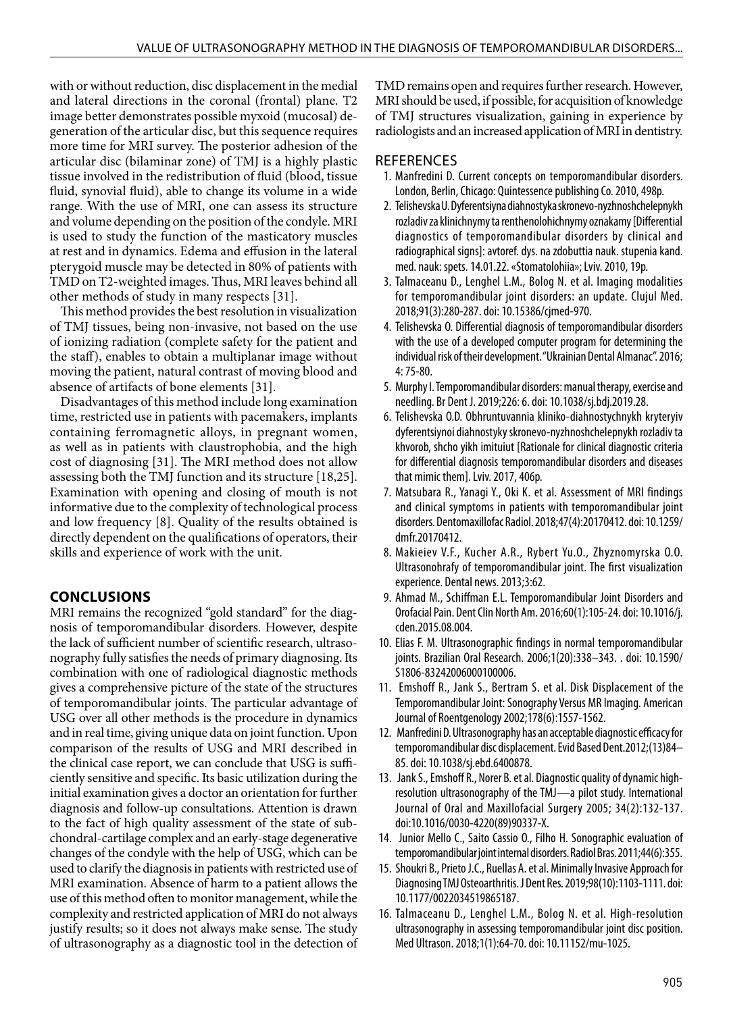with or without reduction, disc displacement in the medial and lateral directions in the coronal (frontal) plane. T2 image better demonstrates possible myxoid (mucosal) degeneration of the articular disc, but this sequence requires more time for MRI survey. The posterior adhesion of the articular disc (bilaminar zone) of TMJ is a highly plastic tissue involved in the redistribution of fluid (blood, tissue fluid, synovial fluid), able to change its volume in a wide range. With the use of MRI, one can assess its structure and volume depending on the position of the condyle. MRI is used to study the function of the masticatory muscles at rest and in dynamics. Edema and effusion in the lateral pterygoid muscle may be detected in 80% of patients with TMD on T2-weighted images. Thus, MRI leaves behind all other methods of study in many respects [31].

This method provides the best resolution in visualization of TMJ tissues, being non-invasive, not based on the use of ionizing radiation (complete safety for the patient and the staff), enables to obtain a multiplanar image without moving the patient, natural contrast of moving blood and absence of artifacts of bone elements [31].

Disadvantages of this method include long examination time, restricted use in patients with pacemakers, implants containing ferromagnetic alloys, in pregnant women, as well as in patients with claustrophobia, and the high cost of diagnosing [31]. The MRI method does not allow assessing both the TMJ function and its structure [18,25]. Examination with opening and closing of mouth is not informative due to the complexity of technological process and low frequency [8]. Quality of the results obtained is directly dependent on the qualifications of operators, their skills and experience of work with the unit.

# **CONCLUSIONS**

MRI remains the recognized "gold standard" for the diagnosis of temporomandibular disorders. However, despite the lack of sufficient number of scientific research, ultrasonography fully satisfies the needs of primary diagnosing. Its combination with one of radiological diagnostic methods gives a comprehensive picture of the state of the structures of temporomandibular joints. The particular advantage of USG over all other methods is the procedure in dynamics and in real time, giving unique data on joint function. Upon comparison of the results of USG and MRI described in the clinical case report, we can conclude that USG is sufficiently sensitive and specific. Its basic utilization during the initial examination gives a doctor an orientation for further diagnosis and follow-up consultations. Attention is drawn to the fact of high quality assessment of the state of subchondral-cartilage complex and an early-stage degenerative changes of the condyle with the help of USG, which can be used to clarify the diagnosis in patients with restricted use of MRI examination. Absence of harm to a patient allows the use of this method often to monitor management, while the complexity and restricted application of MRI do not always justify results; so it does not always make sense. The study of ultrasonography as a diagnostic tool in the detection of TMD remains open and requires further research. However, MRI should be used, if possible, for acquisition of knowledge of TMJ structures visualization, gaining in experience by radiologists and an increased application of MRI in dentistry.

## **REFERENCES**

- 1. Manfredini D. Current concepts on temporomandibular disorders. London, Berlin, Chicago: Quintessence publishing Co. 2010, 498p.
- 2. Telishevska U. Dyferentsiyna diahnostyka skronevo-nyzhnoshchelepnykh rozladiv za klinichnymy ta renthenolohichnymy oznakamy [Differential diagnostics of temporomandibular disorders by clinical and radiographical signs]: avtoref. dys. na zdobuttia nauk. stupenia kand. med. nauk: spets. 14.01.22. «Stomatolohiia»; Lviv. 2010, 19p.
- 3. Talmaceanu D., Lenghel L.M., Bolog N. et al. Imaging modalities for temporomandibular joint disorders: an update. Clujul Med. 2018;91(3):280-287. doi: 10.15386/cjmed-970.
- 4. Telishevska O. Differential diagnosis of temporomandibular disorders with the use of a developed computer program for determining the individual risk of their development. "Ukrainian Dental Almanac". 2016; 4: 75-80.
- 5. Murphy I. Temporomandibular disorders: manual therapy, exercise and needling. Br Dent J. 2019;226: 6. doi: 10.1038/sj.bdj.2019.28.
- 6. Telishevska O.D. Obhruntuvannia kliniko-diahnostychnykh kryteryiv dyferentsiynoi diahnostyky skronevo-nyzhnoshchelepnykh rozladiv ta khvorob, shcho yikh imituiut [Rationale for clinical diagnostic criteria for differential diagnosis temporomandibular disorders and diseases that mimic them]. Lviv. 2017, 406p.
- 7. Matsubara R., Yanagi Y., Oki K. et al. Assessment of MRI findings and clinical symptoms in patients with temporomandibular joint disorders. Dentomaxillofac Radiol. 2018;47(4):20170412. doi: 10.1259/ dmfr.20170412.
- 8. Makieiev V.F., Kucher A.R., Rybert Yu.O., Zhyznomyrska O.O. Ultrasonohrafy of temporomandibular joint. The first visualization experience. Dental news. 2013;3:62.
- 9. Ahmad M., Schiffman E.L. Temporomandibular Joint Disorders and Orofacial Pain. Dent Clin North Am. 2016;60(1):105-24. doi: 10.1016/j. cden.2015.08.004.
- 10. Elias F. M. Ultrasonographic findings in normal temporomandibular joints. Brazilian Oral Research. 2006;1(20):338–343. . doi: 10.1590/ S1806-83242006000100006.
- 11. Emshoff R., Jank S., Bertram S. et al. Disk Displacement of the Temporomandibular Joint: Sonography Versus MR Imaging. American Journal of Roentgenology 2002;178(6):1557-1562.
- 12. Manfredini D. Ultrasonography has an acceptable diagnostic efficacy for temporomandibular disc displacement. Evid Based Dent.2012;(13)84– 85. doi: 10.1038/sj.ebd.6400878.
- 13. Jank S., Emshoff R., Norer B. et al. Diagnostic quality of dynamic highresolution ultrasonography of the TMJ—a pilot study. International Journal of Oral and Maxillofacial Surgery 2005; 34(2):132-137. doi:10.1016/0030-4220(89)90337-X.
- 14. Junior Mello C., Saito Cassio O., Filho H. Sonographic evaluation of temporomandibular joint internal disorders. Radiol Bras. 2011;44(6):355.
- 15. Shoukri B., Prieto J.C., Ruellas A. et al. Minimally Invasive Approach for Diagnosing TMJ Osteoarthritis. J Dent Res. 2019;98(10):1103-1111. doi: 10.1177/0022034519865187.
- 16. Talmaceanu D., Lenghel L.M., Bolog N. et al. High-resolution ultrasonography in assessing temporomandibular joint disc position. Med Ultrason. 2018;1(1):64-70. doi: 10.11152/mu-1025.